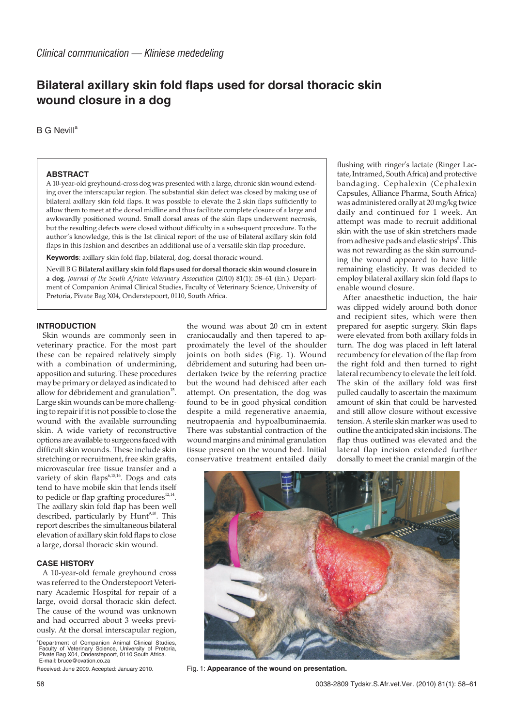# **Bilateral axillary skin fold flaps used for dorsal thoracic skin wound closure in a dog**

 $B$  G Nevill<sup>e</sup>

### **ABSTRACT**

A 10-year-old greyhound-cross dog was presented with a large, chronic skin wound extending over the interscapular region. The substantial skin defect was closed by making use of bilateral axillary skin fold flaps. It was possible to elevate the 2 skin flaps sufficiently to allow them to meet at the dorsal midline and thus facilitate complete closure of a large and awkwardly positioned wound. Small dorsal areas of the skin flaps underwent necrosis, but the resulting defects were closed without difficulty in a subsequent procedure. To the author's knowledge, this is the 1st clinical report of the use of bilateral axillary skin fold flaps in this fashion and describes an additional use of a versatile skin flap procedure.

**Keywords**: axillary skin fold flap, bilateral, dog, dorsal thoracic wound.

Nevill B G **Bilateral axillary skin fold flaps used for dorsal thoracic skin wound closure in a dog**. *Journal of the South African Veterinary Association* (2010) 81(1): 58–61 (En.). Department of Companion Animal Clinical Studies, Faculty of Veterinary Science, University of Pretoria, Pivate Bag X04, Onderstepoort, 0110, South Africa.

## **INTRODUCTION**

Skin wounds are commonly seen in veterinary practice. For the most part these can be repaired relatively simply with a combination of undermining, apposition and suturing. These procedures may be primary or delayed as indicated to allow for débridement and granulation<sup>15</sup>. Large skin wounds can be more challenging to repair if it is not possible to close the wound with the available surrounding skin. A wide variety of reconstructive options are available to surgeons faced with difficult skin wounds. These include skin stretching or recruitment, free skin grafts, microvascular free tissue transfer and a variety of skin flaps $6,15,16$ . Dogs and cats tend to have mobile skin that lends itself to pedicle or flap grafting procedures $12,14$ . The axillary skin fold flap has been well described, particularly by Hunt<sup>9,10</sup>. This report describes the simultaneous bilateral elevation of axillary skin fold flaps to close a large, dorsal thoracic skin wound.

#### **CASE HISTORY**

A 10-year-old female greyhound cross was referred to the Onderstepoort Veterinary Academic Hospital for repair of a large, ovoid dorsal thoracic skin defect. The cause of the wound was unknown and had occurred about 3 weeks previously. At the dorsal interscapular region,

<sup>a</sup>Department of Companion Animal Clinical Studies, Faculty of Veterinary Science, University of Pretoria, Pivate Bag X04, Onderstepoort, 0110 South Africa. E-mail: bruce@ovation.co.za

the wound was about 20 cm in extent craniocaudally and then tapered to approximately the level of the shoulder joints on both sides (Fig. 1). Wound débridement and suturing had been undertaken twice by the referring practice but the wound had dehisced after each attempt. On presentation, the dog was found to be in good physical condition despite a mild regenerative anaemia, neutropaenia and hypoalbuminaemia. There was substantial contraction of the wound margins and minimal granulation tissue present on the wound bed. Initial conservative treatment entailed daily

flushing with ringer's lactate (Ringer Lactate, Intramed, South Africa) and protective bandaging. Cephalexin (Cephalexin Capsules, Alliance Pharma, South Africa) was administered orally at 20 mg/kg twice daily and continued for 1 week. An attempt was made to recruit additional skin with the use of skin stretchers made from adhesive pads and elastic strips<sup>8</sup>. This was not rewarding as the skin surrounding the wound appeared to have little remaining elasticity. It was decided to employ bilateral axillary skin fold flaps to enable wound closure.

After anaesthetic induction, the hair was clipped widely around both donor and recipient sites, which were then prepared for aseptic surgery. Skin flaps were elevated from both axillary folds in turn. The dog was placed in left lateral recumbency for elevation of the flap from the right fold and then turned to right lateral recumbency to elevate the left fold. The skin of the axillary fold was first pulled caudally to ascertain the maximum amount of skin that could be harvested and still allow closure without excessive tension. A sterile skin marker was used to outline the anticipated skin incisions. The flap thus outlined was elevated and the lateral flap incision extended further dorsally to meet the cranial margin of the



Received: June 2009. Accepted: January 2010. Fig. 1: **Appearance of the wound on presentation.**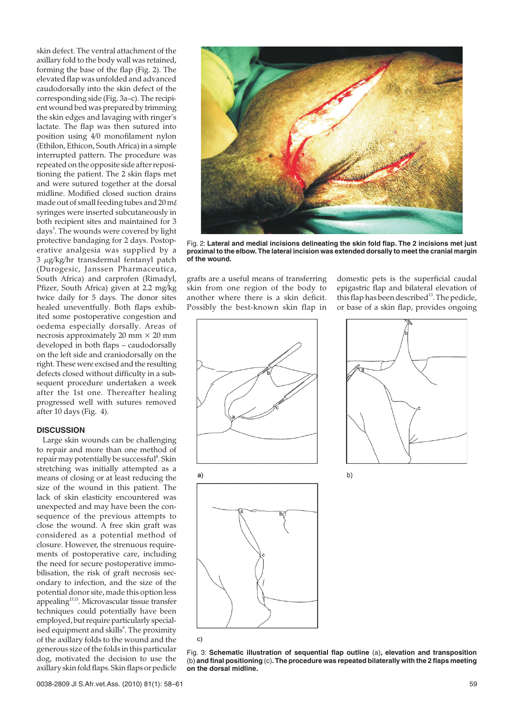skin defect. The ventral attachment of the axillary fold to the body wall was retained, forming the base of the flap (Fig. 2). The elevated flap was unfolded and advanced caudodorsally into the skin defect of the corresponding side (Fig. 3a–c). The recipient wound bed was prepared by trimming the skin edges and lavaging with ringer's lactate. The flap was then sutured into position using 4/0 monofilament nylon (Ethilon, Ethicon, South Africa) in a simple interrupted pattern. The procedure was repeated on the opposite side after repositioning the patient. The 2 skin flaps met and were sutured together at the dorsal midline. Modified closed suction drains made out of small feeding tubes and 20 m syringes were inserted subcutaneously in both recipient sites and maintained for 3 days<sup>3</sup>. The wounds were covered by light protective bandaging for 2 days. Postoperative analgesia was supplied by a 3 µg/kg/hr transdermal fentanyl patch (Durogesic, Janssen Pharmaceutica, South Africa) and carprofen (Rimadyl, Pfizer, South Africa) given at 2.2 mg/kg twice daily for 5 days. The donor sites healed uneventfully. Both flaps exhibited some postoperative congestion and oedema especially dorsally. Areas of necrosis approximately 20 mm  $\times$  20 mm developed in both flaps – caudodorsally on the left side and craniodorsally on the right. These were excised and the resulting defects closed without difficulty in a subsequent procedure undertaken a week after the 1st one. Thereafter healing progressed well with sutures removed after 10 days (Fig. 4).

#### **DISCUSSION**

Large skin wounds can be challenging to repair and more than one method of repair may potentially be successful<sup>8</sup>. Skin stretching was initially attempted as a means of closing or at least reducing the size of the wound in this patient. The lack of skin elasticity encountered was unexpected and may have been the consequence of the previous attempts to close the wound. A free skin graft was considered as a potential method of closure. However, the strenuous requirements of postoperative care, including the need for secure postoperative immobilisation, the risk of graft necrosis secondary to infection, and the size of the potential donor site, made this option less appealing13,15. Microvascular tissue transfer techniques could potentially have been employed, but require particularly specialised equipment and skills $\lq$ . The proximity of the axillary folds to the wound and the generous size of the folds in this particular dog, motivated the decision to use the axillary skin fold flaps. Skin flaps or pedicle



Fig. 2: **Lateral and medial incisions delineating the skin fold flap. The 2 incisions met just proximal to the elbow. The lateral incision was extended dorsally to meet the cranial margin of the wound.**

grafts are a useful means of transferring skin from one region of the body to another where there is a skin deficit. Possibly the best-known skin flap in

domestic pets is the superficial caudal epigastric flap and bilateral elevation of this flap has been described<sup>13</sup>. The pedicle, or base of a skin flap, provides ongoing



 $a)$ 







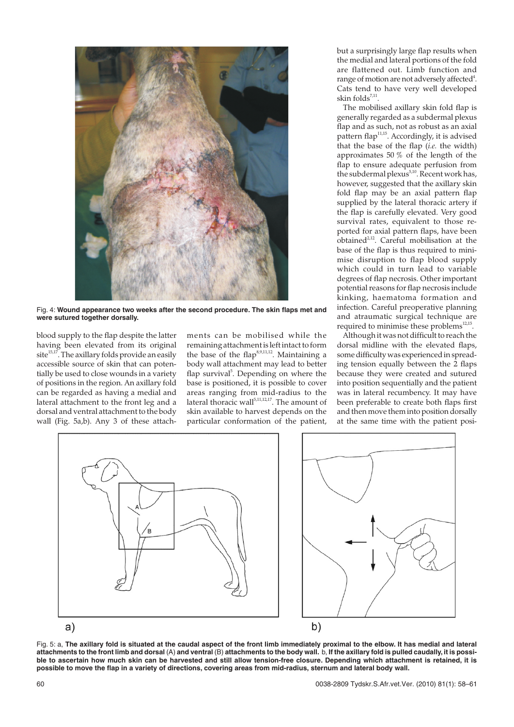

Fig. 4: **Wound appearance two weeks after the second procedure. The skin flaps met and were sutured together dorsally.**

blood supply to the flap despite the latter having been elevated from its original site $^{15,17}$ . The axillary folds provide an easily accessible source of skin that can potentially be used to close wounds in a variety of positions in the region. An axillary fold can be regarded as having a medial and lateral attachment to the front leg and a dorsal and ventral attachment to the body wall (Fig. 5a,b). Any 3 of these attachments can be mobilised while the remaining attachment is left intact to form the base of the flap<sup>8,9,11,12</sup>. Maintaining a body wall attachment may lead to better flap survival<sup>5</sup>. Depending on where the base is positioned, it is possible to cover areas ranging from mid-radius to the  $\frac{1}{\sqrt{2}}$  lateral thoracic wall<sup>5,11,12,17</sup>. The amount of skin available to harvest depends on the particular conformation of the patient, but a surprisingly large flap results when the medial and lateral portions of the fold are flattened out. Limb function and range of motion are not adversely affected<sup>4</sup>. Cats tend to have very well developed skin folds $7,11$ .

The mobilised axillary skin fold flap is generally regarded as a subdermal plexus flap and as such, not as robust as an axial pattern flap<sup>11,15</sup>. Accordingly, it is advised that the base of the flap (*i.e.* the width) approximates 50 % of the length of the flap to ensure adequate perfusion from the subdermal plexus<sup>5,10</sup>. Recent work has, however, suggested that the axillary skin fold flap may be an axial pattern flap supplied by the lateral thoracic artery if the flap is carefully elevated. Very good survival rates, equivalent to those reported for axial pattern flaps, have been  $o$ btained<sup>2,12</sup>. Careful mobilisation at the base of the flap is thus required to minimise disruption to flap blood supply which could in turn lead to variable degrees of flap necrosis. Other important potential reasons for flap necrosis include kinking, haematoma formation and infection. Careful preoperative planning and atraumatic surgical technique are required to minimise these problems<sup>12,15</sup>.

Although it was not difficult to reach the dorsal midline with the elevated flaps, some difficulty was experienced in spreading tension equally between the 2 flaps because they were created and sutured into position sequentially and the patient was in lateral recumbency. It may have been preferable to create both flaps first and then move them into position dorsally at the same time with the patient posi-



Fig. 5: a, **The axillary fold is situated at the caudal aspect of the front limb immediately proximal to the elbow. It has medial and lateral attachments to the front limb and dorsal** (A) **and ventral** (B) **attachments to the body wall.** b, **If the axillary fold is pulled caudally, it is possible to ascertain how much skin can be harvested and still allow tension-free closure. Depending which attachment is retained, it is possible to move the flap in a variety of directions, covering areas from mid-radius, sternum and lateral body wall.**